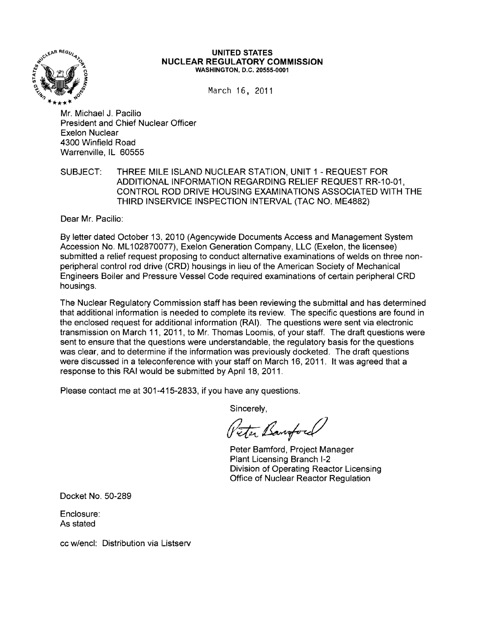

#### UNITED STATES UNITED STATES  $\int_{\mathcal{C}^{\vee}}^{\sqrt{c}}$ ..iii!' "0",... NUCLEAR REGULATORY **COMMISSION WASHINGTON, D.C. 20555-0001**

March 16, 2011

Mr. Michael J. Pacilio President and Chief Nuclear Officer Exelon Nuclear 4300 Winfield Road Warrenville. IL 60555

SUBJECT: THREE MILE ISLAND NUCLEAR STATION. UNIT 1 - REQUEST FOR ADDITIONAL INFORMATION REGARDING RELIEF REQUEST RR-10-01. CONTROL ROD DRIVE HOUSING EXAMINATIONS ASSOCIATED WITH THE THIRD INSERVICE INSPECTION INTERVAL (TAC NO. ME4882)

Dear Mr. Pacilio:

By letter dated October 13, 2010 (Agencywide Documents Access and Management System Accession No. ML102870077). Exelon Generation Company. LLC (Exelon, the licensee) submitted a relief request proposing to conduct alternative examinations of welds on three nonperipheral control rod drive (CRD) housings in lieu of the American Society of Mechanical Engineers Boiler and Pressure Vessel Code required examinations of certain peripheral CRD housings.

The Nuclear Regulatory Commission staff has been reviewing the submittal and has determined that additional information is needed to complete its review. The specific questions are found in the enclosed request for additional information (RAI). The questions were sent via electronic transmission on March 11. 2011. to Mr. Thomas Loomis, of your staff. The draft questions were sent to ensure that the questions were understandable. the regulatory basis for the questions was clear, and to determine if the information was previously docketed. The draft questions were discussed in a teleconference with your staff on March 16, 2011. It was agreed that a response to this RAI would be submitted by April 18, 2011.

Please contact me at 301-415-2833. if you have any questions.

Sincerely,

Peter Banford

Peter Bamford, Project Manager Plant Licensing Branch 1-2 Division of Operating Reactor Licensing Office of Nuclear Reactor Regulation

Docket No. 50-289

Enclosure: As stated

cc w/encl: Distribution via Listserv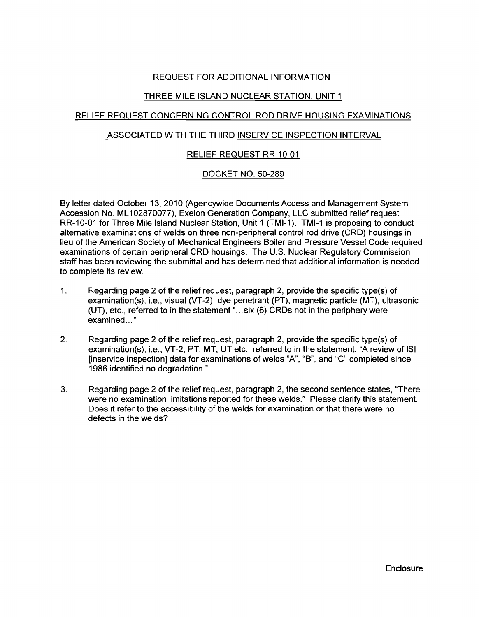## REQUEST FOR ADDITIONAL INFORMATION

## THREE MILE ISLAND NUCLEAR STATION, UNIT 1

## RELIEF REQUEST CONCERNING CONTROL ROD DRIVE HOUSING EXAMINATIONS

### ASSOCIATED WITH THE THIRD INSERVICE INSPECTION INTERVAL

## RELIEF REQUEST RR-10-01

# DOCKET NO. 50-289

By letter dated October 13, 2010 (Agencywide Documents Access and Management System Accession No. ML 102870077), Exelon Generation Company, LLC submitted relief request RR-10-01 for Three Mile Island Nuclear Station, Unit 1 (TMI-1). TMI-1 is proposing to conduct alternative examinations of welds on three non-peripheral control rod drive (CRD) housings in lieu of the American Society of Mechanical Engineers Boiler and Pressure Vessel Code required examinations of certain peripheral CRD housings. The U.S. Nuclear Regulatory Commission staff has been reviewing the submittal and has determined that additional information is needed to complete its review.

- 1. Regarding page 2 of the relief request, paragraph 2, provide the specific type(s) of examination(s), i.e., visual (VT-2), dye penetrant (PT), magnetic particle (MT), ultrasonic (UT), etc., referred to in the statement " ... six (6) CRDs not in the periphery were examined..."
- 2. Regarding page 2 of the relief request, paragraph 2, provide the specific type(s) of examination(s), i.e., VT-2, PT, MT, UT etc., referred to in the statement, "A review of lSI [inservice inspection] data for examinations of welds "A", "B", and "C" completed since 1986 identified no degradation."
- 3. Regarding page 2 of the relief request, paragraph 2, the second sentence states, "There were no examination limitations reported for these welds." Please clarify this statement. Does it refer to the accessibility of the welds for examination or that there were no defects in the welds?